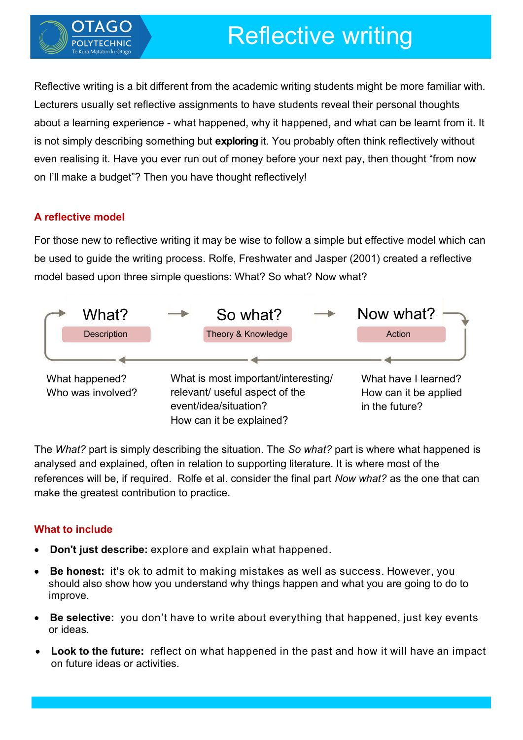

# Reflective writing

Reflective writing is a bit different from the academic writing students might be more familiar with. Lecturers usually set reflective assignments to have students reveal their personal thoughts about a learning experience - what happened, why it happened, and what can be learnt from it. It is not simply describing something but **exploring** it. You probably often think reflectively without even realising it. Have you ever run out of money before your next pay, then thought "from now on I'll make a budget"? Then you have thought reflectively!

# **A reflective model**

For those new to reflective writing it may be wise to follow a simple but effective model which can be used to guide the writing process. Rolfe, Freshwater and Jasper (2001) created a reflective model based upon three simple questions: What? So what? Now what?



The *What?* part is simply describing the situation. The *So what?* part is where what happened is analysed and explained, often in relation to supporting literature. It is where most of the references will be, if required. Rolfe et al. consider the final part *Now what?* as the one that can make the greatest contribution to practice.

# **What to include**

- **Don't just describe:** explore and explain what happened.
- **Be honest:** it's ok to admit to making mistakes as well as success. However, you should also show how you understand why things happen and what you are going to do to improve.
- **Be selective:** you don't have to write about everything that happened, just key events or ideas.
- **Look to the future:** reflect on what happened in the past and how it will have an impact on future ideas or activities.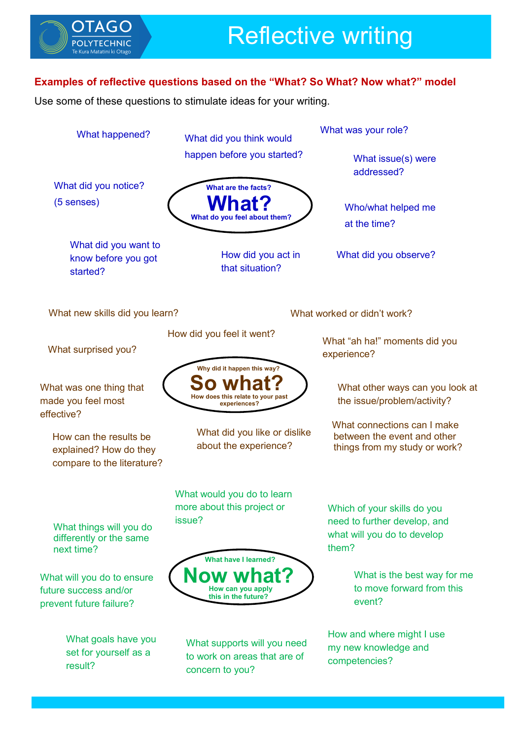

## **Examples of reflective questions based on the "What? So What? Now what?" model**

Use some of these questions to stimulate ideas for your writing.

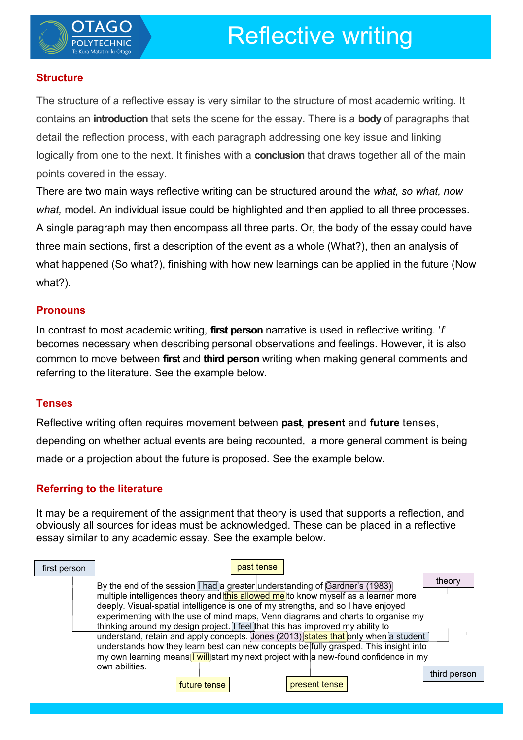

## **Structure**

The structure of a reflective essay is very similar to the structure of most academic writing. It contains an **introduction** that sets the scene for the essay. There is a **body** of paragraphs that detail the reflection process, with each paragraph addressing one key issue and linking logically from one to the next. It finishes with a **conclusion** that draws together all of the main points covered in the essay.

There are two main ways reflective writing can be structured around the *what, so what, now what,* model. An individual issue could be highlighted and then applied to all three processes. A single paragraph may then encompass all three parts. Or, the body of the essay could have three main sections, first a description of the event as a whole (What?), then an analysis of what happened (So what?), finishing with how new learnings can be applied in the future (Now what?).

#### **Pronouns**

In contrast to most academic writing, **first person** narrative is used in reflective writing. '*I*' becomes necessary when describing personal observations and feelings. However, it is also common to move between **first** and **third person** writing when making general comments and referring to the literature. See the example below.

#### **Tenses**

Reflective writing often requires movement between **past**, **present** and **future** tenses, depending on whether actual events are being recounted, a more general comment is being made or a projection about the future is proposed. See the example below.

## **Referring to the literature**

It may be a requirement of the assignment that theory is used that supports a reflection, and obviously all sources for ideas must be acknowledged. These can be placed in a reflective essay similar to any academic essay. See the example below.

| first person | past tense                                                                                                                                                                                                                                                                                                                                                                                                                                                                                                                                                                                                                                                                                                                   |              |  |
|--------------|------------------------------------------------------------------------------------------------------------------------------------------------------------------------------------------------------------------------------------------------------------------------------------------------------------------------------------------------------------------------------------------------------------------------------------------------------------------------------------------------------------------------------------------------------------------------------------------------------------------------------------------------------------------------------------------------------------------------------|--------------|--|
|              | By the end of the session I had a greater understanding of Gardner's (1983)<br>multiple intelligences theory and this allowed me to know myself as a learner more<br>deeply. Visual-spatial intelligence is one of my strengths, and so I have enjoyed<br>experimenting with the use of mind maps, Venn diagrams and charts to organise my<br>thinking around my design project. I feel that this has improved my ability to<br>understand, retain and apply concepts. Jones (2013) states that only when a student<br>understands how they learn best can new concepts be fully grasped. This insight into<br>my own learning means <b>T</b> will start my next project with a new-found confidence in my<br>own abilities. | theory       |  |
|              | present tense<br>future tense                                                                                                                                                                                                                                                                                                                                                                                                                                                                                                                                                                                                                                                                                                | third person |  |